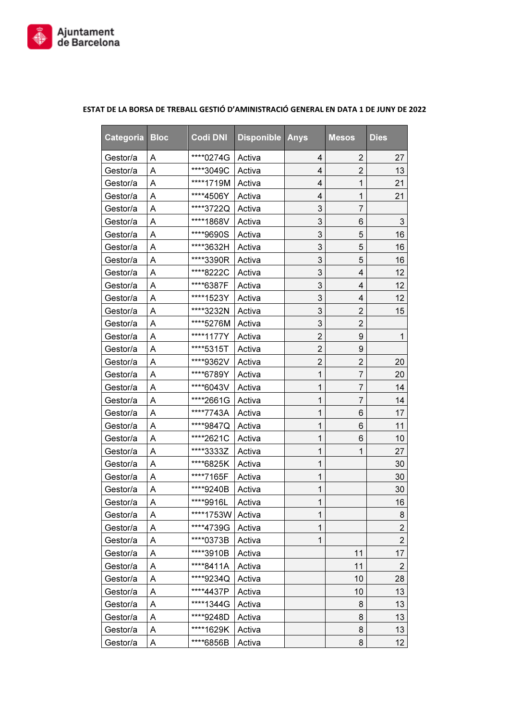

| Categoria | <b>Bloc</b> | <b>Codi DNI</b> | <b>Disponible Anys</b> |                | <b>Mesos</b>   | <b>Dies</b>               |
|-----------|-------------|-----------------|------------------------|----------------|----------------|---------------------------|
| Gestor/a  | A           | ****0274G       | Activa                 | 4              | 2              | 27                        |
| Gestor/a  | Α           | ****3049C       | Activa                 | 4              | $\overline{2}$ | 13                        |
| Gestor/a  | Α           | ****1719M       | Activa                 | 4              | 1              | 21                        |
| Gestor/a  | Α           | ****4506Y       | Activa                 | 4              | 1              | 21                        |
| Gestor/a  | Α           | ****3722Q       | Activa                 | 3              | $\overline{7}$ |                           |
| Gestor/a  | Α           | ****1868V       | Activa                 | 3              | 6              | $\ensuremath{\mathsf{3}}$ |
| Gestor/a  | Α           | ****9690S       | Activa                 | 3              | 5              | 16                        |
| Gestor/a  | Α           | ****3632H       | Activa                 | 3              | 5              | 16                        |
| Gestor/a  | Α           | ****3390R       | Activa                 | 3              | 5              | 16                        |
| Gestor/a  | Α           | ****8222C       | Activa                 | 3              | 4              | 12                        |
| Gestor/a  | Α           | ****6387F       | Activa                 | 3              | 4              | 12                        |
| Gestor/a  | Α           | ****1523Y       | Activa                 | 3              | 4              | 12                        |
| Gestor/a  | Α           | ****3232N       | Activa                 | 3              | $\overline{2}$ | 15                        |
| Gestor/a  | Α           | ****5276M       | Activa                 | 3              | $\overline{2}$ |                           |
| Gestor/a  | Α           | ****1177Y       | Activa                 | 2              | 9              | 1                         |
| Gestor/a  | Α           | ****5315T       | Activa                 | $\overline{2}$ | 9              |                           |
| Gestor/a  | Α           | ****9362V       | Activa                 | $\overline{2}$ | $\overline{2}$ | 20                        |
| Gestor/a  | Α           | ****6789Y       | Activa                 | 1              | $\overline{7}$ | 20                        |
| Gestor/a  | Α           | ****6043V       | Activa                 | 1              | 7              | 14                        |
| Gestor/a  | Α           | ****2661G       | Activa                 | 1              | $\overline{7}$ | 14                        |
| Gestor/a  | Α           | ****7743A       | Activa                 | 1              | 6              | 17                        |
| Gestor/a  | Α           | ****9847Q       | Activa                 | 1              | 6              | 11                        |
| Gestor/a  | Α           | ****2621C       | Activa                 | 1              | 6              | 10                        |
| Gestor/a  | Α           | ****3333Z       | Activa                 | 1              | 1              | 27                        |
| Gestor/a  | Α           | ****6825K       | Activa                 | 1              |                | 30                        |
| Gestor/a  | Α           | ****7165F       | Activa                 | 1              |                | 30                        |
| Gestor/a  | Α           | ****9240B       | Activa                 | 1              |                | 30                        |
| Gestor/a  | Α           | ****9916L       | Activa                 | 1              |                | 16                        |
| Gestor/a  | A           | ****1753W       | Activa                 | 1              |                | 8                         |
| Gestor/a  | Α           | ****4739G       | Activa                 | 1              |                | $\overline{2}$            |
| Gestor/a  | Α           | ****0373B       | Activa                 | 1              |                | $\overline{2}$            |
| Gestor/a  | Α           | ****3910B       | Activa                 |                | 11             | 17                        |
| Gestor/a  | Α           | ****8411A       | Activa                 |                | 11             | $\overline{2}$            |
| Gestor/a  | Α           | ****9234Q       | Activa                 |                | 10             | 28                        |
| Gestor/a  | Α           | ****4437P       | Activa                 |                | 10             | 13                        |
| Gestor/a  | Α           | ****1344G       | Activa                 |                | 8              | 13                        |
| Gestor/a  | Α           | ****9248D       | Activa                 |                | 8              | 13                        |
| Gestor/a  | Α           | ****1629K       | Activa                 |                | 8              | 13                        |
| Gestor/a  | Α           | ****6856B       | Activa                 |                | 8              | 12 <sub>2</sub>           |

## ESTAT DE LA BORSA DE TREBALL GESTIÓ D'AMINISTRACIÓ GENERAL EN DATA 1 DE JUNY DE 2022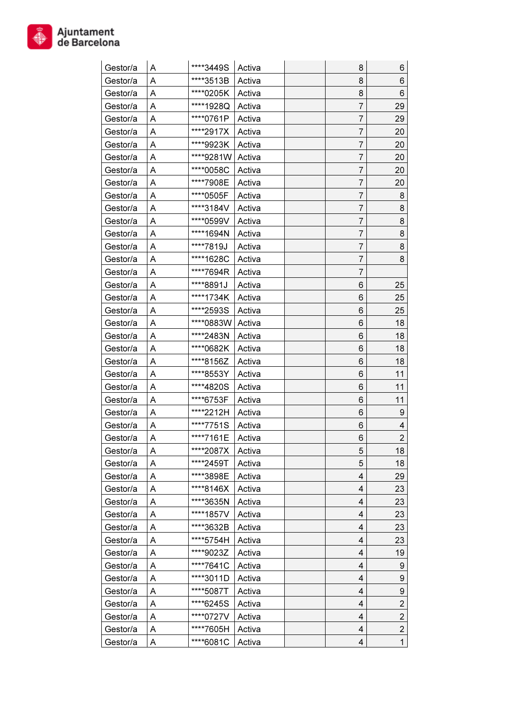

| Gestor/a | Α      | ****3449S | Activa | 8 | 6                |
|----------|--------|-----------|--------|---|------------------|
| Gestor/a | Α      | ****3513B | Activa | 8 | 6                |
| Gestor/a | Α      | ****0205K | Activa | 8 | 6                |
| Gestor/a | Α      | ****1928Q | Activa | 7 | 29               |
| Gestor/a | Α      | ****0761P | Activa | 7 | 29               |
| Gestor/a | Α      | ****2917X | Activa | 7 | 20               |
| Gestor/a | Α      | ****9923K | Activa | 7 | 20               |
| Gestor/a | Α      | ****9281W | Activa | 7 | 20               |
| Gestor/a | Α      | ****0058C | Activa | 7 | 20               |
| Gestor/a | Α      | ****7908E | Activa | 7 | 20               |
| Gestor/a | Α      | ****0505F | Activa | 7 | 8                |
| Gestor/a | Α      | ****3184V | Activa | 7 | 8                |
| Gestor/a | A      | ****0599V | Activa | 7 | 8                |
| Gestor/a | Α      | ****1694N | Activa | 7 | 8                |
| Gestor/a | A      | ****7819J | Activa | 7 | 8                |
| Gestor/a | Α      | ****1628C | Activa | 7 | 8                |
| Gestor/a | Α      | ****7694R | Activa | 7 |                  |
| Gestor/a | Α      | ****8891J | Activa | 6 | 25               |
| Gestor/a | Α      | ****1734K | Activa | 6 | 25               |
| Gestor/a |        | ****2593S | Activa | 6 | 25               |
| Gestor/a | Α<br>Α | ****0883W | Activa | 6 | 18               |
| Gestor/a |        | ****2483N | Activa | 6 | 18               |
| Gestor/a | Α      | ****0682K |        | 6 | 18               |
|          | Α      | ****8156Z | Activa | 6 | 18               |
| Gestor/a | Α      |           | Activa |   |                  |
| Gestor/a | Α      | ****8553Y | Activa | 6 | 11               |
| Gestor/a | Α      | ****4820S | Activa | 6 | 11               |
| Gestor/a | Α      | ****6753F | Activa | 6 | 11               |
| Gestor/a | Α      | ****2212H | Activa | 6 | 9                |
| Gestor/a | A      | ****7751S | Activa | 6 | 4                |
| Gestor/a | Α      | ****7161E | Activa | 6 | $\overline{2}$   |
| Gestor/a | A      | ****2087X | Activa | 5 | 18               |
| Gestor/a | Α      | ****2459T | Activa | 5 | 18               |
| Gestor/a | Α      | ****3898E | Activa | 4 | 29               |
| Gestor/a | Α      | ****8146X | Activa | 4 | 23               |
| Gestor/a | Α      | ****3635N | Activa | 4 | 23               |
| Gestor/a | Α      | ****1857V | Activa | 4 | 23               |
| Gestor/a | Α      | ****3632B | Activa | 4 | 23               |
| Gestor/a | Α      | ****5754H | Activa | 4 | 23               |
| Gestor/a | Α      | ****9023Z | Activa | 4 | 19               |
| Gestor/a | Α      | ****7641C | Activa | 4 | 9                |
| Gestor/a | Α      | ****3011D | Activa | 4 | 9                |
| Gestor/a | Α      | ****5087T | Activa | 4 | $\boldsymbol{9}$ |
| Gestor/a | Α      | ****6245S | Activa | 4 | $\overline{c}$   |
| Gestor/a | Α      | ****0727V | Activa | 4 | $\overline{2}$   |
| Gestor/a | Α      | ****7605H | Activa | 4 | $\overline{2}$   |
| Gestor/a | Α      | ****6081C | Activa | 4 | $\mathbf{1}$     |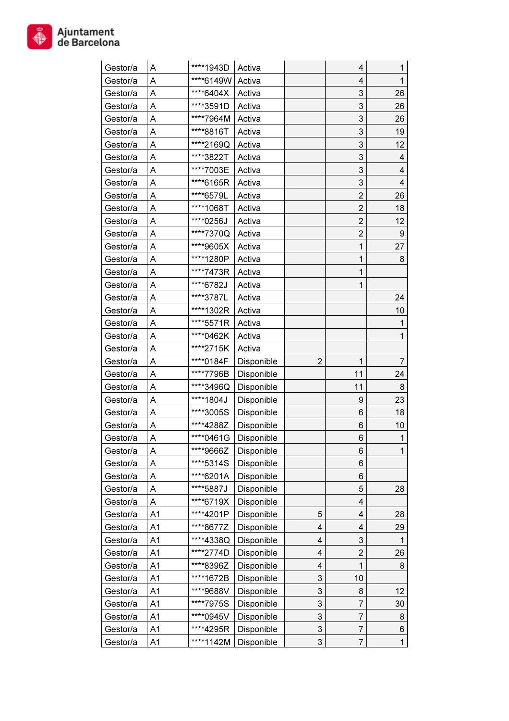

| Gestor/a | Α              | ****1943D | Activa     |                           | 4                         | 1                |
|----------|----------------|-----------|------------|---------------------------|---------------------------|------------------|
| Gestor/a | Α              | ****6149W | Activa     |                           | 4                         | $\mathbf{1}$     |
| Gestor/a | Α              | ****6404X | Activa     |                           | 3                         | 26               |
| Gestor/a | Α              | ****3591D | Activa     |                           | 3                         | 26               |
| Gestor/a | Α              | ****7964M | Activa     |                           | 3                         | 26               |
| Gestor/a | Α              | ****8816T | Activa     |                           | 3                         | 19               |
| Gestor/a | Α              | ****2169Q | Activa     |                           | 3                         | 12               |
| Gestor/a | Α              | ****3822T | Activa     |                           | 3                         | 4                |
| Gestor/a | Α              | ****7003E | Activa     |                           | $\ensuremath{\mathsf{3}}$ | 4                |
| Gestor/a | Α              | ****6165R | Activa     |                           | 3                         | 4                |
| Gestor/a | Α              | ****6579L | Activa     |                           | $\overline{2}$            | 26               |
| Gestor/a | Α              | ****1068T | Activa     |                           | $\overline{2}$            | 18               |
| Gestor/a | Α              | ****0256J | Activa     |                           | $\overline{2}$            | 12               |
| Gestor/a | Α              | ****7370Q | Activa     |                           | $\overline{2}$            | $\boldsymbol{9}$ |
| Gestor/a | Α              | ****9605X | Activa     |                           | 1                         | 27               |
| Gestor/a | Α              | ****1280P | Activa     |                           | $\mathbf{1}$              | 8                |
| Gestor/a | Α              | ****7473R | Activa     |                           | 1                         |                  |
| Gestor/a | Α              | ****6782J | Activa     |                           | 1                         |                  |
| Gestor/a | Α              | ****3787L | Activa     |                           |                           | 24               |
| Gestor/a | Α              | ****1302R | Activa     |                           |                           | 10               |
| Gestor/a | Α              | ****5571R | Activa     |                           |                           | 1                |
| Gestor/a | Α              | ****0462K | Activa     |                           |                           | 1                |
| Gestor/a | Α              | ****2715K | Activa     |                           |                           |                  |
| Gestor/a | Α              | ****0184F | Disponible | $\overline{2}$            | $\mathbf{1}$              | 7                |
| Gestor/a | Α              | ****7796B | Disponible |                           | 11                        | 24               |
| Gestor/a | Α              | ****3496Q | Disponible |                           | 11                        | 8                |
| Gestor/a | Α              | ****1804J | Disponible |                           | 9                         | 23               |
| Gestor/a | Α              | ****3005S | Disponible |                           | 6                         | 18               |
| Gestor/a | Α              | ****4288Z | Disponible |                           | 6                         | 10               |
| Gestor/a | Α              | ****0461G | Disponible |                           | 6                         | $\mathbf{1}$     |
| Gestor/a | Α              | ****9666Z | Disponible |                           | 6                         | 1                |
| Gestor/a | Α              | ****5314S | Disponible |                           | 6                         |                  |
| Gestor/a | Α              | ****6201A | Disponible |                           | 6                         |                  |
| Gestor/a | Α              | ****5887J | Disponible |                           | 5                         | 28               |
| Gestor/a | Α              | ****6719X | Disponible |                           | 4                         |                  |
| Gestor/a | A <sub>1</sub> | ****4201P | Disponible | 5                         | 4                         | 28               |
| Gestor/a | A1             | ****8677Z | Disponible | 4                         | 4                         | 29               |
| Gestor/a | A1             | ****4338Q | Disponible | 4                         | 3                         | 1                |
| Gestor/a | A1             | ****2774D | Disponible | 4                         | $\overline{2}$            | 26               |
| Gestor/a | A1             | ****8396Z | Disponible | 4                         | $\mathbf{1}$              | 8                |
| Gestor/a | A1             | ****1672B | Disponible | 3                         | 10                        |                  |
| Gestor/a | A1             | ****9688V | Disponible | 3                         | 8                         | 12               |
| Gestor/a | A <sub>1</sub> | *7975S    | Disponible | 3                         | 7                         | 30               |
| Gestor/a | A1             | ****0945V | Disponible | $\ensuremath{\mathsf{3}}$ | 7                         | 8                |
| Gestor/a | A1             | ****4295R | Disponible | 3                         | 7                         | 6                |
| Gestor/a | A1             | ****1142M | Disponible | 3                         | 7                         | $\mathbf{1}$     |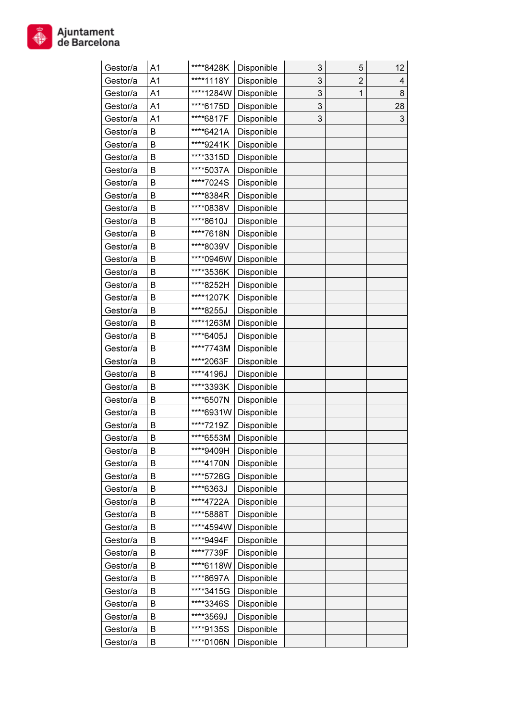

| Gestor/a | A1             | ****8428K | Disponible | 3 | 5              | 12 |
|----------|----------------|-----------|------------|---|----------------|----|
| Gestor/a | A <sub>1</sub> | ****1118Y | Disponible | 3 | $\overline{2}$ | 4  |
| Gestor/a | A <sub>1</sub> | ****1284W | Disponible | 3 | 1              | 8  |
| Gestor/a | A <sub>1</sub> | ****6175D | Disponible | 3 |                | 28 |
| Gestor/a | A <sub>1</sub> | ****6817F | Disponible | 3 |                | 3  |
| Gestor/a | B              | ****6421A | Disponible |   |                |    |
| Gestor/a | B              | ****9241K | Disponible |   |                |    |
| Gestor/a | B              | ****3315D | Disponible |   |                |    |
| Gestor/a | B              | ****5037A | Disponible |   |                |    |
| Gestor/a | B              | ****7024S | Disponible |   |                |    |
| Gestor/a | B              | ****8384R | Disponible |   |                |    |
| Gestor/a | B              | ****0838V | Disponible |   |                |    |
| Gestor/a | B              | ****8610J | Disponible |   |                |    |
| Gestor/a | B              | ****7618N | Disponible |   |                |    |
| Gestor/a | B              | ****8039V | Disponible |   |                |    |
| Gestor/a | B              | ****0946W | Disponible |   |                |    |
| Gestor/a | B              | ****3536K | Disponible |   |                |    |
| Gestor/a | B              | ****8252H | Disponible |   |                |    |
| Gestor/a | B              | ****1207K | Disponible |   |                |    |
| Gestor/a | B              | ****8255J | Disponible |   |                |    |
| Gestor/a | B              | ****1263M | Disponible |   |                |    |
| Gestor/a | B              | ****6405J | Disponible |   |                |    |
| Gestor/a | B              | ****7743M | Disponible |   |                |    |
| Gestor/a | B              | ****2063F | Disponible |   |                |    |
| Gestor/a | B              | ****4196J | Disponible |   |                |    |
| Gestor/a | B              | ****3393K | Disponible |   |                |    |
| Gestor/a | B              | ****6507N | Disponible |   |                |    |
| Gestor/a | B              | ****6931W | Disponible |   |                |    |
| Gestor/a | B              | ****7219Z | Disponible |   |                |    |
| Gestor/a | B              | ****6553M | Disponible |   |                |    |
| Gestor/a | B              | ****9409H | Disponible |   |                |    |
| Gestor/a | B              | ****4170N | Disponible |   |                |    |
| Gestor/a | B              | ****5726G | Disponible |   |                |    |
| Gestor/a | B              | ****6363J | Disponible |   |                |    |
| Gestor/a | B              | ****4722A | Disponible |   |                |    |
| Gestor/a | B              | ****5888T | Disponible |   |                |    |
| Gestor/a | B              | ****4594W | Disponible |   |                |    |
| Gestor/a | B              | ****9494F | Disponible |   |                |    |
| Gestor/a | B              | ****7739F | Disponible |   |                |    |
| Gestor/a | B              | ****6118W | Disponible |   |                |    |
| Gestor/a | B              | ****8697A | Disponible |   |                |    |
| Gestor/a | B              | ****3415G | Disponible |   |                |    |
| Gestor/a | B              | ****3346S | Disponible |   |                |    |
| Gestor/a | B              | ****3569J | Disponible |   |                |    |
| Gestor/a | B              | ****9135S | Disponible |   |                |    |
| Gestor/a | B              | ****0106N | Disponible |   |                |    |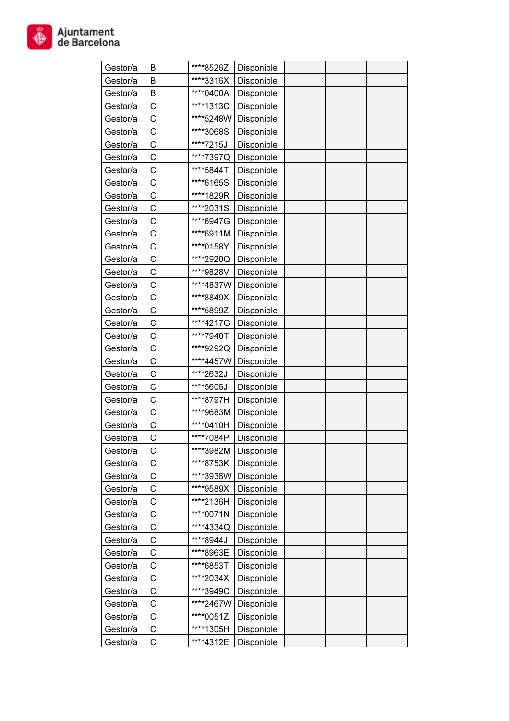

| Gestor/a             | B | ****8526Z | Disponible               |  |  |
|----------------------|---|-----------|--------------------------|--|--|
| Gestor/a             | B | ****3316X | Disponible               |  |  |
| Gestor/a             | B | ****0400A | Disponible               |  |  |
| Gestor/a             | C | ****1313C | Disponible               |  |  |
| Gestor/a             | C | ****5248W | Disponible               |  |  |
| Gestor/a             | C | ****3068S | Disponible               |  |  |
| Gestor/a             | C | ****7215J | Disponible               |  |  |
| Gestor/a             | C | ****7397Q | Disponible               |  |  |
| Gestor/a             | C | ****5844T | Disponible               |  |  |
| Gestor/a             | C | ****6165S | Disponible               |  |  |
| Gestor/a             | С | ****1829R | Disponible               |  |  |
| Gestor/a             | С | ****2031S | Disponible               |  |  |
| Gestor/a             | C | ****6947G | Disponible               |  |  |
| Gestor/a             | C | ****6911M | Disponible               |  |  |
| Gestor/a             | С | ****0158Y | Disponible               |  |  |
| Gestor/a             | C | ****2920Q | Disponible               |  |  |
| Gestor/a             | С | ****9828V | Disponible               |  |  |
| Gestor/a             | С | ****4837W | Disponible               |  |  |
| Gestor/a             | С | ****8849X | Disponible               |  |  |
| Gestor/a             | С | ****5899Z | Disponible               |  |  |
| Gestor/a             | C | ****4217G | Disponible               |  |  |
| Gestor/a             | C | ****7940T | Disponible               |  |  |
| Gestor/a             | C | ****9292Q | Disponible               |  |  |
| Gestor/a             | C | ****4457W | Disponible               |  |  |
| Gestor/a             | C | ****2632J | Disponible               |  |  |
| Gestor/a             | C | ****5606J | Disponible               |  |  |
| Gestor/a             | C | ****8797H |                          |  |  |
| Gestor/a             | С | ****9683M | Disponible               |  |  |
| Gestor/a             | С | ****0410H | Disponible<br>Disponible |  |  |
|                      | C | ****7084P |                          |  |  |
| Gestor/a<br>Gestor/a |   | ****3982M | Disponible               |  |  |
|                      | С |           | Disponible               |  |  |
| Gestor/a             | C | ****8753K | Disponible               |  |  |
| Gestor/a             | C | ****3936W | Disponible               |  |  |
| Gestor/a             | C | ****9589X | Disponible               |  |  |
| Gestor/a             | C | ****2136H | Disponible               |  |  |
| Gestor/a             | C | ****0071N | Disponible               |  |  |
| Gestor/a             | C | ****4334Q | Disponible               |  |  |
| Gestor/a             | C | ****8944J | Disponible               |  |  |
| Gestor/a             | C | ****8963E | Disponible               |  |  |
| Gestor/a             | C | ****6853T | Disponible               |  |  |
| Gestor/a             | C | ****2034X | Disponible               |  |  |
| Gestor/a             | C | ****3949C | Disponible               |  |  |
| Gestor/a             | C | ****2467W | Disponible               |  |  |
| Gestor/a             | C | ****0051Z | Disponible               |  |  |
| Gestor/a             | C | ****1305H | Disponible               |  |  |
| Gestor/a             | C | ****4312E | Disponible               |  |  |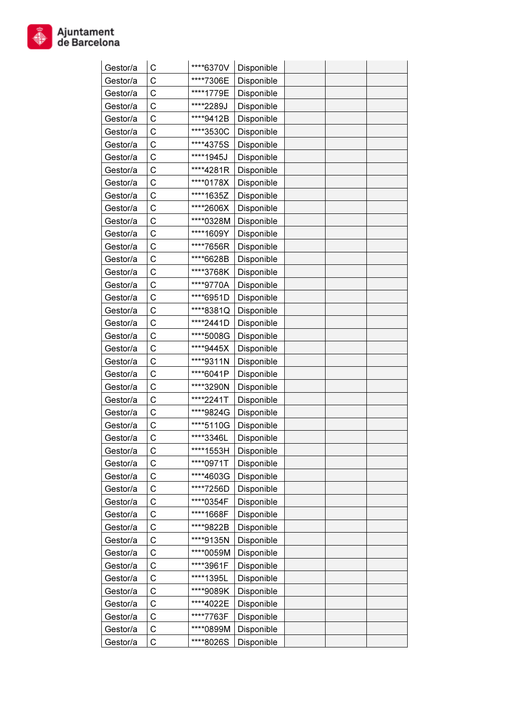

| Gestor/a | С            | ****6370V | Disponible |  |  |
|----------|--------------|-----------|------------|--|--|
| Gestor/a | C            | ****7306E | Disponible |  |  |
| Gestor/a | C            | ****1779E | Disponible |  |  |
| Gestor/a | C            | ****2289J | Disponible |  |  |
| Gestor/a | C            | ****9412B | Disponible |  |  |
| Gestor/a | C            | ****3530C | Disponible |  |  |
| Gestor/a | C            | ****4375S | Disponible |  |  |
| Gestor/a | C            | ****1945J | Disponible |  |  |
| Gestor/a | C            | ****4281R | Disponible |  |  |
| Gestor/a | C            | ****0178X | Disponible |  |  |
| Gestor/a | C            | ****1635Z | Disponible |  |  |
| Gestor/a | C            | ****2606X | Disponible |  |  |
| Gestor/a | C            | ****0328M | Disponible |  |  |
| Gestor/a | C            | ****1609Y | Disponible |  |  |
| Gestor/a | C            | ****7656R | Disponible |  |  |
| Gestor/a | C            | ****6628B | Disponible |  |  |
| Gestor/a | C            | ****3768K | Disponible |  |  |
| Gestor/a | C            | ****9770A | Disponible |  |  |
| Gestor/a | C            | ****6951D | Disponible |  |  |
| Gestor/a | C            | ****8381Q | Disponible |  |  |
| Gestor/a | C            | ****2441D | Disponible |  |  |
| Gestor/a | C            | ****5008G | Disponible |  |  |
| Gestor/a | C            | ****9445X | Disponible |  |  |
| Gestor/a | С            | ****9311N | Disponible |  |  |
| Gestor/a | С            | ****6041P | Disponible |  |  |
| Gestor/a | C            | ****3290N | Disponible |  |  |
| Gestor/a | C            | ****2241T | Disponible |  |  |
| Gestor/a | C            | ****9824G | Disponible |  |  |
| Gestor/a | С            | ****5110G | Disponible |  |  |
| Gestor/a | $\mathsf{C}$ | ****3346L | Disponible |  |  |
| Gestor/a | С            | ****1553H | Disponible |  |  |
| Gestor/a | С            | ****0971T | Disponible |  |  |
| Gestor/a | C            | ****4603G | Disponible |  |  |
| Gestor/a | C            | ****7256D | Disponible |  |  |
| Gestor/a | C            | ****0354F | Disponible |  |  |
| Gestor/a | C            | ****1668F | Disponible |  |  |
| Gestor/a | C            | ****9822B | Disponible |  |  |
| Gestor/a | C            | ****9135N | Disponible |  |  |
| Gestor/a | C            | ****0059M | Disponible |  |  |
| Gestor/a | C            | ****3961F | Disponible |  |  |
| Gestor/a | C            | ****1395L | Disponible |  |  |
| Gestor/a | C            | ****9089K | Disponible |  |  |
| Gestor/a | C            | ****4022E | Disponible |  |  |
|          | C            | ****7763F |            |  |  |
| Gestor/a |              |           | Disponible |  |  |
| Gestor/a | C            | ****0899M | Disponible |  |  |
| Gestor/a | C            | ****8026S | Disponible |  |  |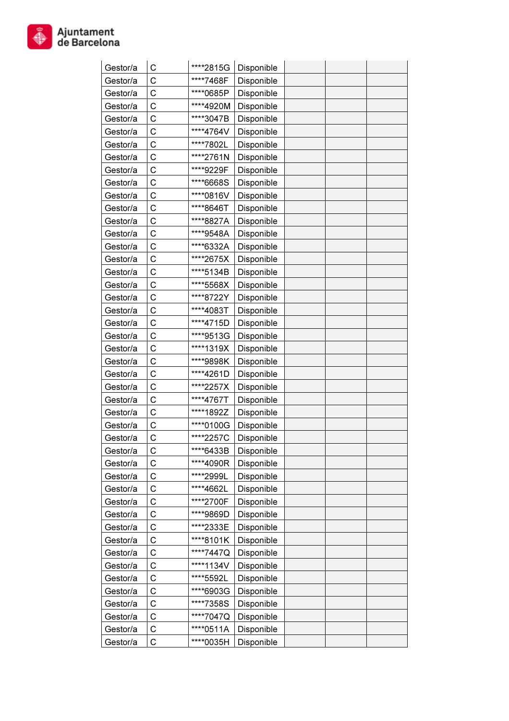

| Gestor/a | С            | ****2815G | Disponible |  |  |
|----------|--------------|-----------|------------|--|--|
| Gestor/a | C            | ****7468F | Disponible |  |  |
| Gestor/a | C            | ****0685P | Disponible |  |  |
| Gestor/a | C            | ****4920M | Disponible |  |  |
| Gestor/a | C            | ****3047B | Disponible |  |  |
| Gestor/a | C            | ****4764V | Disponible |  |  |
| Gestor/a | C            | ****7802L | Disponible |  |  |
| Gestor/a | C            | ****2761N | Disponible |  |  |
| Gestor/a | C            | ****9229F | Disponible |  |  |
| Gestor/a | C            | ****6668S | Disponible |  |  |
| Gestor/a | C            | ****0816V | Disponible |  |  |
| Gestor/a | C            | ****8646T | Disponible |  |  |
| Gestor/a | C            | ****8827A | Disponible |  |  |
| Gestor/a | C            | ****9548A | Disponible |  |  |
| Gestor/a | C            | ****6332A | Disponible |  |  |
| Gestor/a | C            | ****2675X | Disponible |  |  |
| Gestor/a | C            | ****5134B | Disponible |  |  |
| Gestor/a | C            | ****5568X | Disponible |  |  |
| Gestor/a | C            | ****8722Y | Disponible |  |  |
| Gestor/a | C            | ****4083T | Disponible |  |  |
| Gestor/a | C            | ****4715D | Disponible |  |  |
| Gestor/a | C            | ****9513G | Disponible |  |  |
| Gestor/a | C            | ****1319X | Disponible |  |  |
| Gestor/a | С            | ****9898K | Disponible |  |  |
| Gestor/a | С            | ****4261D | Disponible |  |  |
| Gestor/a | C            | ****2257X | Disponible |  |  |
| Gestor/a | C            | ****4767T | Disponible |  |  |
| Gestor/a | C            | ****1892Z | Disponible |  |  |
| Gestor/a | С            | ****0100G | Disponible |  |  |
| Gestor/a | $\mathsf{C}$ | ****2257C | Disponible |  |  |
| Gestor/a | С            | ****6433B | Disponible |  |  |
| Gestor/a | С            | ****4090R | Disponible |  |  |
| Gestor/a | C            | ****2999L | Disponible |  |  |
| Gestor/a | C            | ****4662L | Disponible |  |  |
| Gestor/a | C            | ****2700F | Disponible |  |  |
| Gestor/a | C            | ****9869D | Disponible |  |  |
| Gestor/a | C            | ****2333E | Disponible |  |  |
| Gestor/a | C            | ****8101K | Disponible |  |  |
| Gestor/a | C            | ****7447Q | Disponible |  |  |
| Gestor/a | C            | ****1134V | Disponible |  |  |
| Gestor/a | C            | ****5592L | Disponible |  |  |
| Gestor/a | C            | ****6903G | Disponible |  |  |
| Gestor/a | C            | ****7358S | Disponible |  |  |
| Gestor/a | C            | ****7047Q | Disponible |  |  |
| Gestor/a | C            | ****0511A | Disponible |  |  |
| Gestor/a | C            | ****0035H | Disponible |  |  |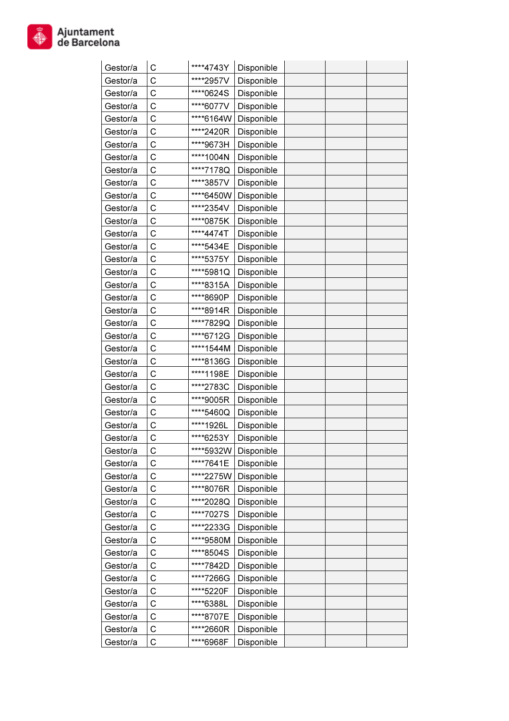

| Gestor/a | С            | ****4743Y | Disponible |  |  |
|----------|--------------|-----------|------------|--|--|
| Gestor/a | C            | ****2957V | Disponible |  |  |
| Gestor/a | C            | ****0624S | Disponible |  |  |
| Gestor/a | C            | ****6077V | Disponible |  |  |
| Gestor/a | C            | ****6164W | Disponible |  |  |
| Gestor/a | C            | ****2420R | Disponible |  |  |
| Gestor/a | C            | ****9673H | Disponible |  |  |
| Gestor/a | C            | ****1004N | Disponible |  |  |
| Gestor/a | C            | ****7178Q | Disponible |  |  |
| Gestor/a | C            | ****3857V | Disponible |  |  |
| Gestor/a | C            | ****6450W | Disponible |  |  |
| Gestor/a | C            | ****2354V | Disponible |  |  |
| Gestor/a | C            | ****0875K | Disponible |  |  |
| Gestor/a | C            | ****4474T | Disponible |  |  |
| Gestor/a | C            | ****5434E | Disponible |  |  |
| Gestor/a | C            | ****5375Y | Disponible |  |  |
| Gestor/a | C            | ****5981Q | Disponible |  |  |
| Gestor/a | C            | ****8315A | Disponible |  |  |
| Gestor/a | C            | ****8690P | Disponible |  |  |
| Gestor/a | С            | ****8914R | Disponible |  |  |
| Gestor/a | C            | ****7829Q | Disponible |  |  |
| Gestor/a | C            | ****6712G | Disponible |  |  |
| Gestor/a | C            | ****1544M | Disponible |  |  |
| Gestor/a | С            | ****8136G | Disponible |  |  |
| Gestor/a | С            | ****1198E | Disponible |  |  |
| Gestor/a | C            | ****2783C | Disponible |  |  |
| Gestor/a | C            | ****9005R | Disponible |  |  |
| Gestor/a | C            | ****5460Q | Disponible |  |  |
| Gestor/a | С            | ****1926L | Disponible |  |  |
| Gestor/a | $\mathsf{C}$ | ****6253Y | Disponible |  |  |
| Gestor/a | С            | ****5932W | Disponible |  |  |
| Gestor/a | С            | ****7641E | Disponible |  |  |
| Gestor/a | C            | ****2275W | Disponible |  |  |
| Gestor/a | C            | ****8076R | Disponible |  |  |
| Gestor/a | C            | ****2028Q | Disponible |  |  |
| Gestor/a | C            | ****7027S | Disponible |  |  |
| Gestor/a | C            | ****2233G | Disponible |  |  |
| Gestor/a | C            | ****9580M | Disponible |  |  |
| Gestor/a | C            | ****8504S | Disponible |  |  |
| Gestor/a | C            | ****7842D | Disponible |  |  |
| Gestor/a | C            | ****7266G | Disponible |  |  |
| Gestor/a | C            | ****5220F | Disponible |  |  |
| Gestor/a | C            | ****6388L | Disponible |  |  |
| Gestor/a | C            | ****8707E | Disponible |  |  |
| Gestor/a | C            | ****2660R | Disponible |  |  |
| Gestor/a | C            | ****6968F | Disponible |  |  |
|          |              |           |            |  |  |